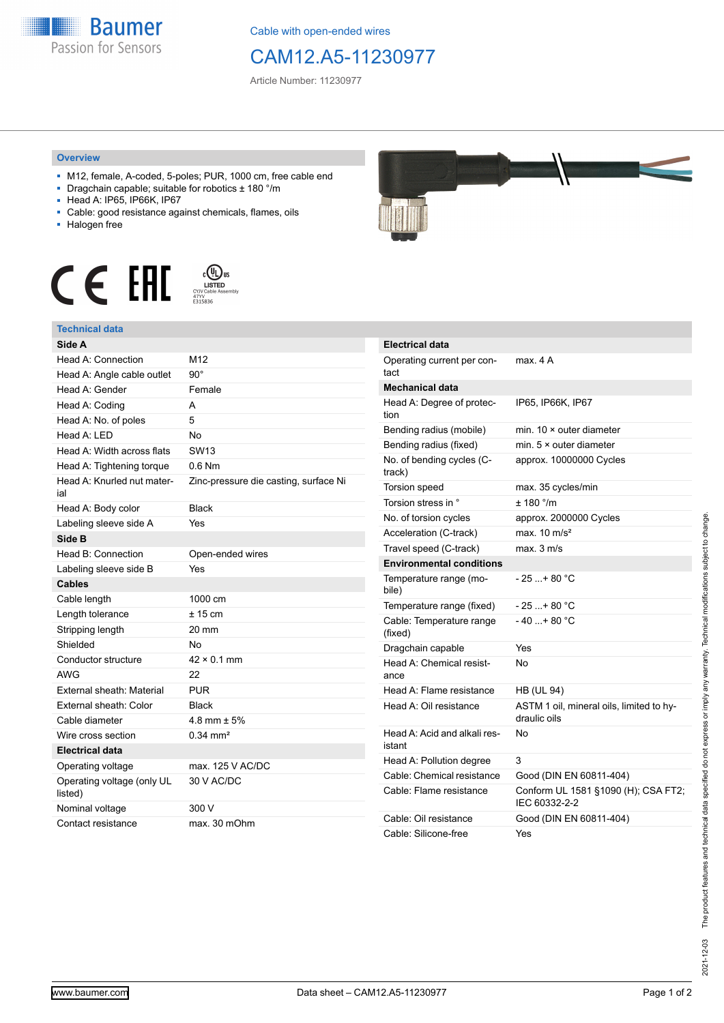

Cable with open-ended wires

## CAM12.A5-11230977

Article Number: 11230977

## **Overview**

- M12, female, A-coded, 5-poles; PUR, 1000 cm, free cable end
- Dragchain capable; suitable for robotics ± 180 °/m
- Head A: IP65, IP66K, IP67
- Cable: good resistance against chemicals, flames, oils
- Halogen free





| Side A                                |                                       |
|---------------------------------------|---------------------------------------|
| Head A: Connection                    | M12                                   |
| Head A: Angle cable outlet            | $90^\circ$                            |
| Head A: Gender                        | Female                                |
| Head A: Coding                        | A                                     |
| Head A: No. of poles                  | 5                                     |
| Head A: LED                           | <b>No</b>                             |
| Head A: Width across flats            | SW <sub>13</sub>                      |
| Head A: Tightening torque             | $0.6$ Nm                              |
| Head A: Knurled nut mater-<br>ial     | Zinc-pressure die casting, surface Ni |
| Head A: Body color                    | <b>Black</b>                          |
| Labeling sleeve side A                | Yes                                   |
| Side B                                |                                       |
| Head B: Connection                    | Open-ended wires                      |
| Labeling sleeve side B                | Yes                                   |
| <b>Cables</b>                         |                                       |
| Cable length                          | 1000 cm                               |
| Length tolerance                      | $± 15$ cm                             |
| Stripping length                      | 20 mm                                 |
| Shielded                              | No                                    |
| Conductor structure                   | $42 \times 0.1$ mm                    |
| <b>AWG</b>                            | 22                                    |
| External sheath: Material             | <b>PUR</b>                            |
| External sheath: Color                | <b>Black</b>                          |
| Cable diameter                        | 4.8 mm $\pm$ 5%                       |
| Wire cross section                    | $0.34$ mm <sup>2</sup>                |
| <b>Electrical data</b>                |                                       |
| Operating voltage                     | max. 125 V AC/DC                      |
| Operating voltage (only UL<br>listed) | 30 V AC/DC                            |
| Nominal voltage                       | 300 V                                 |
| Contact resistance                    | max. 30 mOhm                          |



| Electrical data                        |                                                          |
|----------------------------------------|----------------------------------------------------------|
| Operating current per con-<br>tact     | max. 4 A                                                 |
| Mechanical data                        |                                                          |
| Head A: Degree of protec-<br>tion      | IP65, IP66K, IP67                                        |
| Bending radius (mobile)                | min. $10 \times$ outer diameter                          |
| Bending radius (fixed)                 | min. $5 \times$ outer diameter                           |
| No. of bending cycles (C-<br>track)    | approx. 10000000 Cycles                                  |
| Torsion speed                          | max. 35 cycles/min                                       |
| Torsion stress in °                    | ± 180 °/m                                                |
| No. of torsion cycles                  | approx. 2000000 Cycles                                   |
| Acceleration (C-track)                 | max. $10 \text{ m/s}^2$                                  |
| Travel speed (C-track)                 | max. 3 m/s                                               |
| <b>Environmental conditions</b>        |                                                          |
| Temperature range (mo-<br>bile)        | - 25 + 80 °C                                             |
| Temperature range (fixed)              | - 25 + 80 °C                                             |
| Cable: Temperature range<br>(fixed)    | $-40+80 °C$                                              |
| Dragchain capable                      | Yes                                                      |
| Head A: Chemical resist-<br>ance       | No                                                       |
| Head A: Flame resistance               | <b>HB (UL 94)</b>                                        |
| Head A: Oil resistance                 | ASTM 1 oil, mineral oils, limited to hy-<br>draulic oils |
| Head A: Acid and alkali res-<br>istant | No                                                       |
| Head A: Pollution degree               | 3                                                        |
| Cable: Chemical resistance             | Good (DIN EN 60811-404)                                  |
| Cable: Flame resistance                | Conform UL 1581 §1090 (H); CSA FT2;<br>IEC 60332-2-2     |
| Cable: Oil resistance                  | Good (DIN EN 60811-404)                                  |
| Cable: Silicone-free                   | Yes                                                      |